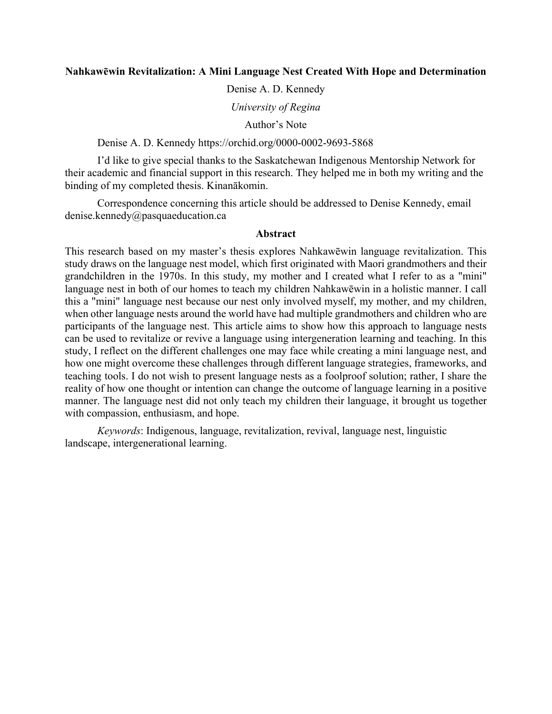# **Nahkawēwin Revitalization: A Mini Language Nest Created With Hope and Determination**

Denise A. D. Kennedy

*University of Regina* 

Author's Note

Denise A. D. Kennedy https://orchid.org/0000-0002-9693-5868

I'd like to give special thanks to the Saskatchewan Indigenous Mentorship Network for their academic and financial support in this research. They helped me in both my writing and the binding of my completed thesis. Kinanākomin.

Correspondence concerning this article should be addressed to Denise Kennedy, email denise.kennedy@pasquaeducation.ca

## **Abstract**

This research based on my master's thesis explores Nahkawēwin language revitalization. This study draws on the language nest model, which first originated with Maori grandmothers and their grandchildren in the 1970s. In this study, my mother and I created what I refer to as a "mini" language nest in both of our homes to teach my children Nahkawēwin in a holistic manner. I call this a "mini" language nest because our nest only involved myself, my mother, and my children, when other language nests around the world have had multiple grandmothers and children who are participants of the language nest. This article aims to show how this approach to language nests can be used to revitalize or revive a language using intergeneration learning and teaching. In this study, I reflect on the different challenges one may face while creating a mini language nest, and how one might overcome these challenges through different language strategies, frameworks, and teaching tools. I do not wish to present language nests as a foolproof solution; rather, I share the reality of how one thought or intention can change the outcome of language learning in a positive manner. The language nest did not only teach my children their language, it brought us together with compassion, enthusiasm, and hope.

*Keywords*: Indigenous, language, revitalization, revival, language nest, linguistic landscape, intergenerational learning.

*3*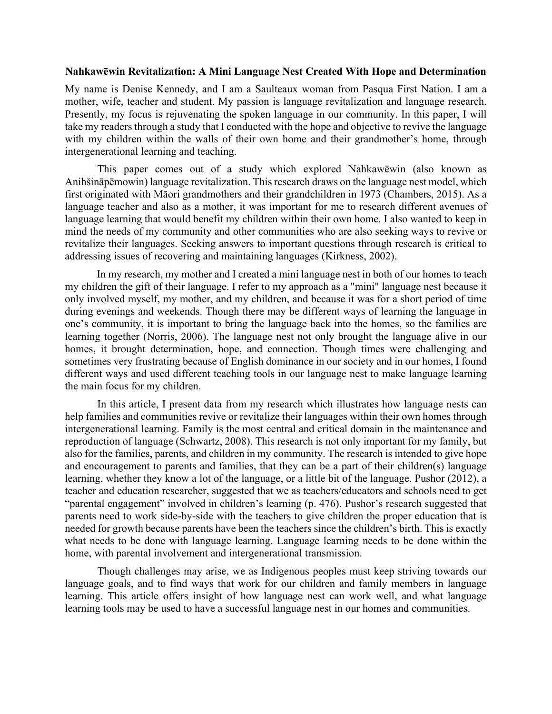## **Nahkawēwin Revitalization: A Mini Language Nest Created With Hope and Determination**

My name is Denise Kennedy, and I am a Saulteaux woman from Pasqua First Nation. I am a mother, wife, teacher and student. My passion is language revitalization and language research. Presently, my focus is rejuvenating the spoken language in our community. In this paper, I will take my readers through a study that I conducted with the hope and objective to revive the language with my children within the walls of their own home and their grandmother's home, through intergenerational learning and teaching.

This paper comes out of a study which explored Nahkawēwin (also known as Anihšināpēmowin) language revitalization. This research draws on the language nest model, which first originated with Māori grandmothers and their grandchildren in 1973 (Chambers, 2015). As a language teacher and also as a mother, it was important for me to research different avenues of language learning that would benefit my children within their own home. I also wanted to keep in mind the needs of my community and other communities who are also seeking ways to revive or revitalize their languages. Seeking answers to important questions through research is critical to addressing issues of recovering and maintaining languages (Kirkness, 2002).

In my research, my mother and I created a mini language nest in both of our homes to teach my children the gift of their language. I refer to my approach as a "mini" language nest because it only involved myself, my mother, and my children, and because it was for a short period of time during evenings and weekends. Though there may be different ways of learning the language in one's community, it is important to bring the language back into the homes, so the families are learning together (Norris, 2006). The language nest not only brought the language alive in our homes, it brought determination, hope, and connection. Though times were challenging and sometimes very frustrating because of English dominance in our society and in our homes, I found different ways and used different teaching tools in our language nest to make language learning the main focus for my children.

In this article, I present data from my research which illustrates how language nests can help families and communities revive or revitalize their languages within their own homes through intergenerational learning. Family is the most central and critical domain in the maintenance and reproduction of language (Schwartz, 2008). This research is not only important for my family, but also for the families, parents, and children in my community. The research is intended to give hope and encouragement to parents and families, that they can be a part of their children(s) language learning, whether they know a lot of the language, or a little bit of the language. Pushor (2012), a teacher and education researcher, suggested that we as teachers/educators and schools need to get "parental engagement" involved in children's learning (p. 476). Pushor's research suggested that parents need to work side-by-side with the teachers to give children the proper education that is needed for growth because parents have been the teachers since the children's birth. This is exactly what needs to be done with language learning. Language learning needs to be done within the home, with parental involvement and intergenerational transmission.

Though challenges may arise, we as Indigenous peoples must keep striving towards our language goals, and to find ways that work for our children and family members in language learning. This article offers insight of how language nest can work well, and what language learning tools may be used to have a successful language nest in our homes and communities.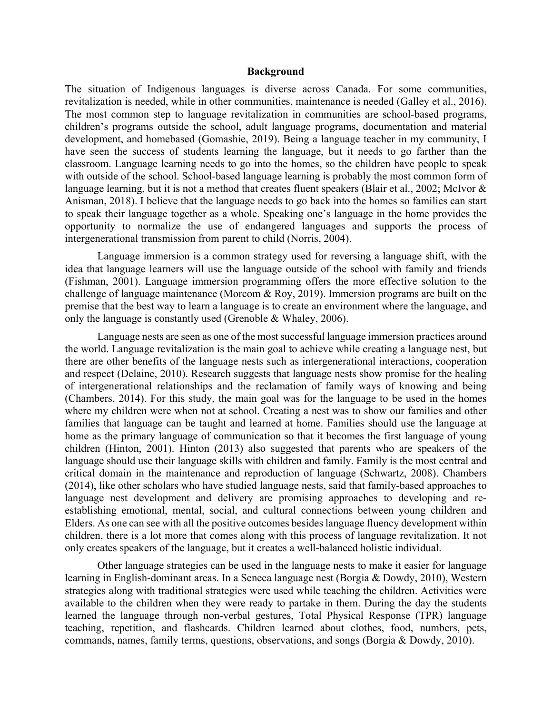#### **Background**

The situation of Indigenous languages is diverse across Canada. For some communities, revitalization is needed, while in other communities, maintenance is needed (Galley et al., 2016). The most common step to language revitalization in communities are school-based programs, children's programs outside the school, adult language programs, documentation and material development, and homebased (Gomashie, 2019). Being a language teacher in my community, I have seen the success of students learning the language, but it needs to go farther than the classroom. Language learning needs to go into the homes, so the children have people to speak with outside of the school. School-based language learning is probably the most common form of language learning, but it is not a method that creates fluent speakers (Blair et al., 2002; McIvor & Anisman, 2018). I believe that the language needs to go back into the homes so families can start to speak their language together as a whole. Speaking one's language in the home provides the opportunity to normalize the use of endangered languages and supports the process of intergenerational transmission from parent to child (Norris, 2004).

 Language immersion is a common strategy used for reversing a language shift, with the idea that language learners will use the language outside of the school with family and friends (Fishman, 2001). Language immersion programming offers the more effective solution to the challenge of language maintenance (Morcom & Roy, 2019). Immersion programs are built on the premise that the best way to learn a language is to create an environment where the language, and only the language is constantly used (Grenoble & Whaley, 2006).

Language nests are seen as one of the most successful language immersion practices around the world. Language revitalization is the main goal to achieve while creating a language nest, but there are other benefits of the language nests such as intergenerational interactions, cooperation and respect (Delaine, 2010). Research suggests that language nests show promise for the healing of intergenerational relationships and the reclamation of family ways of knowing and being (Chambers, 2014). For this study, the main goal was for the language to be used in the homes where my children were when not at school. Creating a nest was to show our families and other families that language can be taught and learned at home. Families should use the language at home as the primary language of communication so that it becomes the first language of young children (Hinton, 2001). Hinton (2013) also suggested that parents who are speakers of the language should use their language skills with children and family. Family is the most central and critical domain in the maintenance and reproduction of language (Schwartz, 2008). Chambers (2014), like other scholars who have studied language nests, said that family-based approaches to language nest development and delivery are promising approaches to developing and reestablishing emotional, mental, social, and cultural connections between young children and Elders. As one can see with all the positive outcomes besides language fluency development within children, there is a lot more that comes along with this process of language revitalization. It not only creates speakers of the language, but it creates a well-balanced holistic individual.

Other language strategies can be used in the language nests to make it easier for language learning in English-dominant areas. In a Seneca language nest (Borgia & Dowdy, 2010), Western strategies along with traditional strategies were used while teaching the children. Activities were available to the children when they were ready to partake in them. During the day the students learned the language through non-verbal gestures, Total Physical Response (TPR) language teaching, repetition, and flashcards. Children learned about clothes, food, numbers, pets, commands, names, family terms, questions, observations, and songs (Borgia & Dowdy, 2010).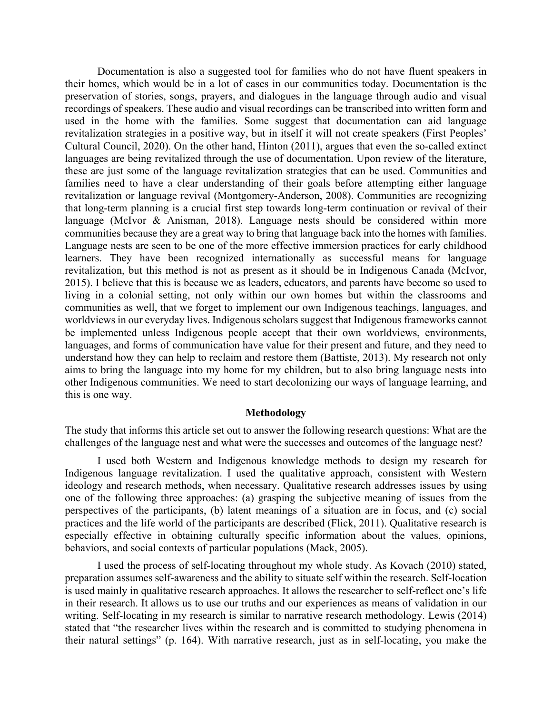Documentation is also a suggested tool for families who do not have fluent speakers in their homes, which would be in a lot of cases in our communities today. Documentation is the preservation of stories, songs, prayers, and dialogues in the language through audio and visual recordings of speakers. These audio and visual recordings can be transcribed into written form and used in the home with the families. Some suggest that documentation can aid language revitalization strategies in a positive way, but in itself it will not create speakers (First Peoples' Cultural Council, 2020). On the other hand, Hinton (2011), argues that even the so-called extinct languages are being revitalized through the use of documentation. Upon review of the literature, these are just some of the language revitalization strategies that can be used. Communities and families need to have a clear understanding of their goals before attempting either language revitalization or language revival (Montgomery-Anderson, 2008). Communities are recognizing that long-term planning is a crucial first step towards long-term continuation or revival of their language (McIvor & Anisman, 2018). Language nests should be considered within more communities because they are a great way to bring that language back into the homes with families. Language nests are seen to be one of the more effective immersion practices for early childhood learners. They have been recognized internationally as successful means for language revitalization, but this method is not as present as it should be in Indigenous Canada (McIvor, 2015). I believe that this is because we as leaders, educators, and parents have become so used to living in a colonial setting, not only within our own homes but within the classrooms and communities as well, that we forget to implement our own Indigenous teachings, languages, and worldviews in our everyday lives. Indigenous scholars suggest that Indigenous frameworks cannot be implemented unless Indigenous people accept that their own worldviews, environments, languages, and forms of communication have value for their present and future, and they need to understand how they can help to reclaim and restore them (Battiste, 2013). My research not only aims to bring the language into my home for my children, but to also bring language nests into other Indigenous communities. We need to start decolonizing our ways of language learning, and this is one way.

#### **Methodology**

The study that informs this article set out to answer the following research questions: What are the challenges of the language nest and what were the successes and outcomes of the language nest?

I used both Western and Indigenous knowledge methods to design my research for Indigenous language revitalization. I used the qualitative approach, consistent with Western ideology and research methods, when necessary. Qualitative research addresses issues by using one of the following three approaches: (a) grasping the subjective meaning of issues from the perspectives of the participants, (b) latent meanings of a situation are in focus, and (c) social practices and the life world of the participants are described (Flick, 2011). Qualitative research is especially effective in obtaining culturally specific information about the values, opinions, behaviors, and social contexts of particular populations (Mack, 2005).

I used the process of self-locating throughout my whole study. As Kovach (2010) stated, preparation assumes self-awareness and the ability to situate self within the research. Self-location is used mainly in qualitative research approaches. It allows the researcher to self-reflect one's life in their research. It allows us to use our truths and our experiences as means of validation in our writing. Self-locating in my research is similar to narrative research methodology. Lewis (2014) stated that "the researcher lives within the research and is committed to studying phenomena in their natural settings" (p. 164). With narrative research, just as in self-locating, you make the

*6*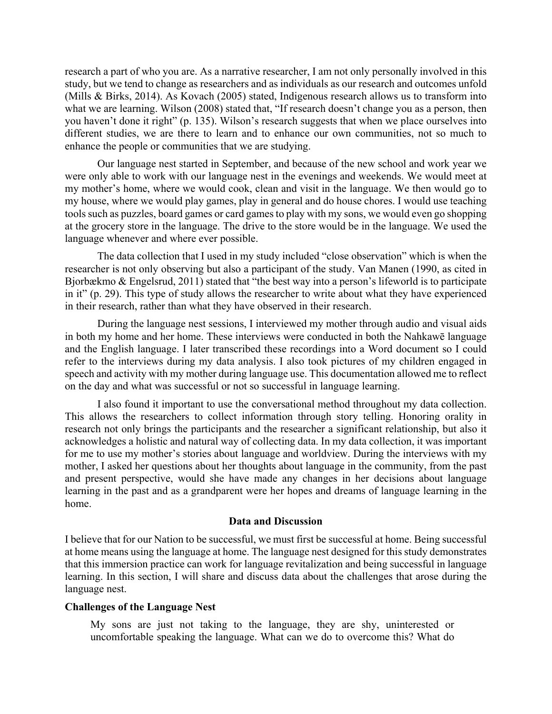research a part of who you are. As a narrative researcher, I am not only personally involved in this study, but we tend to change as researchers and as individuals as our research and outcomes unfold (Mills & Birks, 2014). As Kovach (2005) stated, Indigenous research allows us to transform into what we are learning. Wilson (2008) stated that, "If research doesn't change you as a person, then you haven't done it right" (p. 135). Wilson's research suggests that when we place ourselves into different studies, we are there to learn and to enhance our own communities, not so much to enhance the people or communities that we are studying.

 Our language nest started in September, and because of the new school and work year we were only able to work with our language nest in the evenings and weekends. We would meet at my mother's home, where we would cook, clean and visit in the language. We then would go to my house, where we would play games, play in general and do house chores. I would use teaching tools such as puzzles, board games or card games to play with my sons, we would even go shopping at the grocery store in the language. The drive to the store would be in the language. We used the language whenever and where ever possible.

 The data collection that I used in my study included "close observation" which is when the researcher is not only observing but also a participant of the study. Van Manen (1990, as cited in Bjorbækmo & Engelsrud, 2011) stated that "the best way into a person's lifeworld is to participate in it" (p. 29). This type of study allows the researcher to write about what they have experienced in their research, rather than what they have observed in their research.

During the language nest sessions, I interviewed my mother through audio and visual aids in both my home and her home. These interviews were conducted in both the Nahkawē language and the English language. I later transcribed these recordings into a Word document so I could refer to the interviews during my data analysis. I also took pictures of my children engaged in speech and activity with my mother during language use. This documentation allowed me to reflect on the day and what was successful or not so successful in language learning.

 I also found it important to use the conversational method throughout my data collection. This allows the researchers to collect information through story telling. Honoring orality in research not only brings the participants and the researcher a significant relationship, but also it acknowledges a holistic and natural way of collecting data. In my data collection, it was important for me to use my mother's stories about language and worldview. During the interviews with my mother, I asked her questions about her thoughts about language in the community, from the past and present perspective, would she have made any changes in her decisions about language learning in the past and as a grandparent were her hopes and dreams of language learning in the home.

## **Data and Discussion**

I believe that for our Nation to be successful, we must first be successful at home. Being successful at home means using the language at home. The language nest designed for this study demonstrates that this immersion practice can work for language revitalization and being successful in language learning. In this section, I will share and discuss data about the challenges that arose during the language nest.

# **Challenges of the Language Nest**

My sons are just not taking to the language, they are shy, uninterested or uncomfortable speaking the language. What can we do to overcome this? What do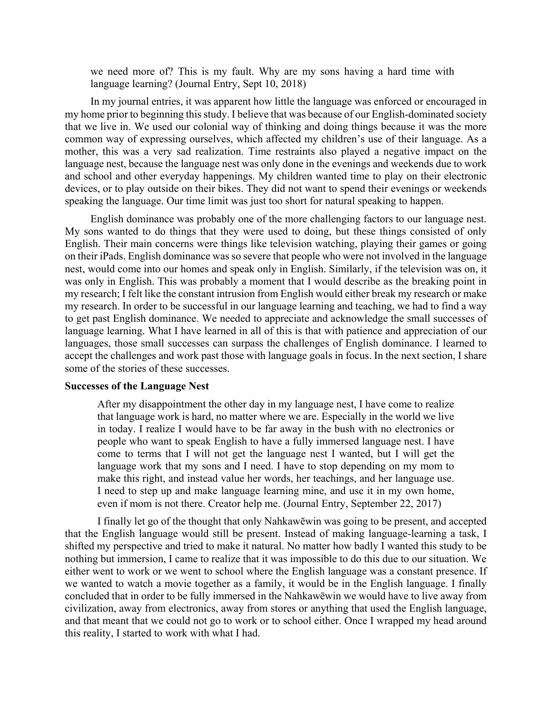we need more of? This is my fault. Why are my sons having a hard time with language learning? (Journal Entry, Sept 10, 2018)

In my journal entries, it was apparent how little the language was enforced or encouraged in my home prior to beginning this study. I believe that was because of our English-dominated society that we live in. We used our colonial way of thinking and doing things because it was the more common way of expressing ourselves, which affected my children's use of their language. As a mother, this was a very sad realization. Time restraints also played a negative impact on the language nest, because the language nest was only done in the evenings and weekends due to work and school and other everyday happenings. My children wanted time to play on their electronic devices, or to play outside on their bikes. They did not want to spend their evenings or weekends speaking the language. Our time limit was just too short for natural speaking to happen.

English dominance was probably one of the more challenging factors to our language nest. My sons wanted to do things that they were used to doing, but these things consisted of only English. Their main concerns were things like television watching, playing their games or going on their iPads. English dominance was so severe that people who were not involved in the language nest, would come into our homes and speak only in English. Similarly, if the television was on, it was only in English. This was probably a moment that I would describe as the breaking point in my research; I felt like the constant intrusion from English would either break my research or make my research. In order to be successful in our language learning and teaching, we had to find a way to get past English dominance. We needed to appreciate and acknowledge the small successes of language learning. What I have learned in all of this is that with patience and appreciation of our languages, those small successes can surpass the challenges of English dominance. I learned to accept the challenges and work past those with language goals in focus. In the next section, I share some of the stories of these successes.

# **Successes of the Language Nest**

After my disappointment the other day in my language nest, I have come to realize that language work is hard, no matter where we are. Especially in the world we live in today. I realize I would have to be far away in the bush with no electronics or people who want to speak English to have a fully immersed language nest. I have come to terms that I will not get the language nest I wanted, but I will get the language work that my sons and I need. I have to stop depending on my mom to make this right, and instead value her words, her teachings, and her language use. I need to step up and make language learning mine, and use it in my own home, even if mom is not there. Creator help me. (Journal Entry, September 22, 2017)

I finally let go of the thought that only Nahkawēwin was going to be present, and accepted that the English language would still be present. Instead of making language-learning a task, I shifted my perspective and tried to make it natural. No matter how badly I wanted this study to be nothing but immersion, I came to realize that it was impossible to do this due to our situation. We either went to work or we went to school where the English language was a constant presence. If we wanted to watch a movie together as a family, it would be in the English language. I finally concluded that in order to be fully immersed in the Nahkawēwin we would have to live away from civilization, away from electronics, away from stores or anything that used the English language, and that meant that we could not go to work or to school either. Once I wrapped my head around this reality, I started to work with what I had.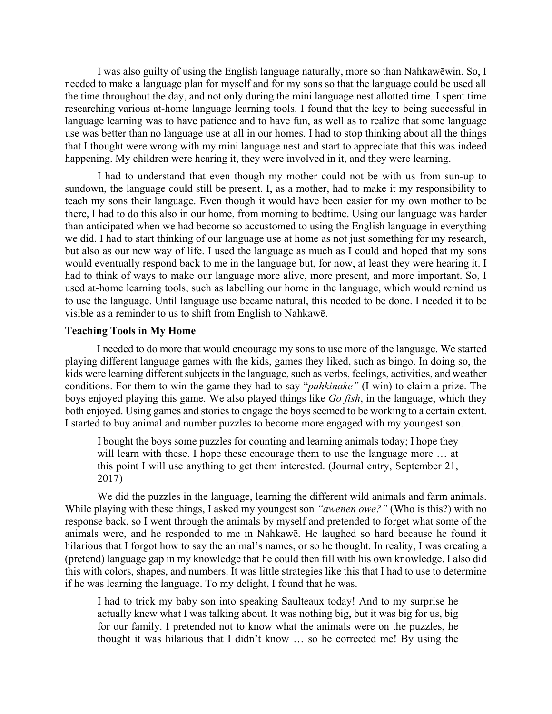I was also guilty of using the English language naturally, more so than Nahkawēwin. So, I needed to make a language plan for myself and for my sons so that the language could be used all the time throughout the day, and not only during the mini language nest allotted time. I spent time researching various at-home language learning tools. I found that the key to being successful in language learning was to have patience and to have fun, as well as to realize that some language use was better than no language use at all in our homes. I had to stop thinking about all the things that I thought were wrong with my mini language nest and start to appreciate that this was indeed happening. My children were hearing it, they were involved in it, and they were learning.

I had to understand that even though my mother could not be with us from sun-up to sundown, the language could still be present. I, as a mother, had to make it my responsibility to teach my sons their language. Even though it would have been easier for my own mother to be there, I had to do this also in our home, from morning to bedtime. Using our language was harder than anticipated when we had become so accustomed to using the English language in everything we did. I had to start thinking of our language use at home as not just something for my research, but also as our new way of life. I used the language as much as I could and hoped that my sons would eventually respond back to me in the language but, for now, at least they were hearing it. I had to think of ways to make our language more alive, more present, and more important. So, I used at-home learning tools, such as labelling our home in the language, which would remind us to use the language. Until language use became natural, this needed to be done. I needed it to be visible as a reminder to us to shift from English to Nahkawē.

#### **Teaching Tools in My Home**

I needed to do more that would encourage my sons to use more of the language. We started playing different language games with the kids, games they liked, such as bingo. In doing so, the kids were learning different subjects in the language, such as verbs, feelings, activities, and weather conditions. For them to win the game they had to say "*pahkinake"* (I win) to claim a prize. The boys enjoyed playing this game. We also played things like *Go fish*, in the language, which they both enjoyed. Using games and stories to engage the boys seemed to be working to a certain extent. I started to buy animal and number puzzles to become more engaged with my youngest son.

I bought the boys some puzzles for counting and learning animals today; I hope they will learn with these. I hope these encourage them to use the language more … at this point I will use anything to get them interested. (Journal entry, September 21, 2017)

We did the puzzles in the language, learning the different wild animals and farm animals. While playing with these things, I asked my youngest son *"awēnēn owē?"* (Who is this?) with no response back, so I went through the animals by myself and pretended to forget what some of the animals were, and he responded to me in Nahkawē. He laughed so hard because he found it hilarious that I forgot how to say the animal's names, or so he thought. In reality, I was creating a (pretend) language gap in my knowledge that he could then fill with his own knowledge. I also did this with colors, shapes, and numbers. It was little strategies like this that I had to use to determine if he was learning the language. To my delight, I found that he was.

I had to trick my baby son into speaking Saulteaux today! And to my surprise he actually knew what I was talking about. It was nothing big, but it was big for us, big for our family. I pretended not to know what the animals were on the puzzles, he thought it was hilarious that I didn't know … so he corrected me! By using the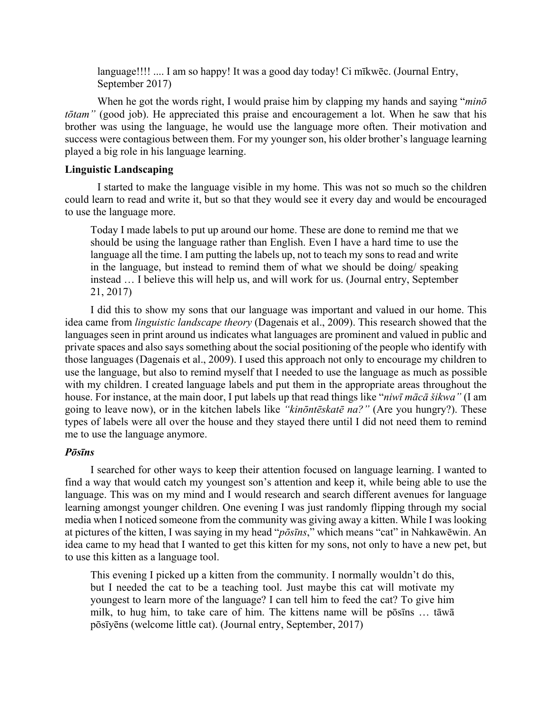language!!!! .... I am so happy! It was a good day today! Ci mīkwēc. (Journal Entry, September 2017)

When he got the words right, I would praise him by clapping my hands and saying "*minō tōtam"* (good job). He appreciated this praise and encouragement a lot. When he saw that his brother was using the language, he would use the language more often. Their motivation and success were contagious between them. For my younger son, his older brother's language learning played a big role in his language learning.

# **Linguistic Landscaping**

I started to make the language visible in my home. This was not so much so the children could learn to read and write it, but so that they would see it every day and would be encouraged to use the language more.

Today I made labels to put up around our home. These are done to remind me that we should be using the language rather than English. Even I have a hard time to use the language all the time. I am putting the labels up, not to teach my sons to read and write in the language, but instead to remind them of what we should be doing/ speaking instead … I believe this will help us, and will work for us. (Journal entry, September 21, 2017)

I did this to show my sons that our language was important and valued in our home. This idea came from *linguistic landscape theory* (Dagenais et al., 2009). This research showed that the languages seen in print around us indicates what languages are prominent and valued in public and private spaces and also says something about the social positioning of the people who identify with those languages (Dagenais et al., 2009). I used this approach not only to encourage my children to use the language, but also to remind myself that I needed to use the language as much as possible with my children. I created language labels and put them in the appropriate areas throughout the house. For instance, at the main door, I put labels up that read things like "*niwī mācā šikwa"* (I am going to leave now), or in the kitchen labels like *"kinōntēskatē na?"* (Are you hungry?). These types of labels were all over the house and they stayed there until I did not need them to remind me to use the language anymore.

## *Pōsīns*

I searched for other ways to keep their attention focused on language learning. I wanted to find a way that would catch my youngest son's attention and keep it, while being able to use the language. This was on my mind and I would research and search different avenues for language learning amongst younger children. One evening I was just randomly flipping through my social media when I noticed someone from the community was giving away a kitten. While I was looking at pictures of the kitten, I was saying in my head "*pōsīns*," which means "cat" in Nahkawēwin. An idea came to my head that I wanted to get this kitten for my sons, not only to have a new pet, but to use this kitten as a language tool.

This evening I picked up a kitten from the community. I normally wouldn't do this, but I needed the cat to be a teaching tool. Just maybe this cat will motivate my youngest to learn more of the language? I can tell him to feed the cat? To give him milk, to hug him, to take care of him. The kittens name will be pōsīns … tāwā pōsīyēns (welcome little cat). (Journal entry, September, 2017)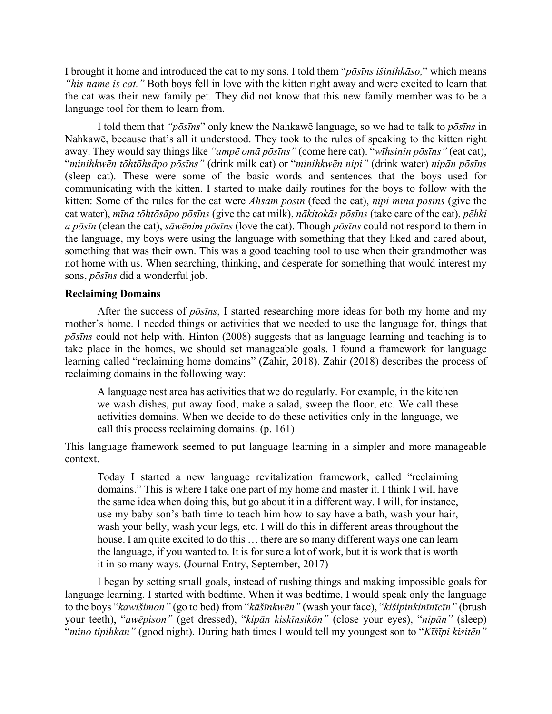I brought it home and introduced the cat to my sons. I told them "*pōsīns išinihkāso,*" which means *"his name is cat."* Both boys fell in love with the kitten right away and were excited to learn that the cat was their new family pet. They did not know that this new family member was to be a language tool for them to learn from.

I told them that *"pōsīns*" only knew the Nahkawē language, so we had to talk to *pōsīns* in Nahkawē, because that's all it understood. They took to the rules of speaking to the kitten right away. They would say things like *"ampē omā pōsīns"* (come here cat). "*wīhsinin pōsīns"* (eat cat), "minihkwēn tōhtōhsāpo pōsīns" (drink milk cat) or "minihkwēn nipi" (drink water) nipān pōsīns (sleep cat). These were some of the basic words and sentences that the boys used for communicating with the kitten. I started to make daily routines for the boys to follow with the kitten: Some of the rules for the cat were *Ahsam pōsīn* (feed the cat), *nipi mīna pōsīns* (give the cat water), mina tohtosapo posins (give the cat milk), nakitokas posins (take care of the cat), pehki a pōsīn (clean the cat), sāwēnim pōsīns (love the cat). Though pōsīns could not respond to them in the language, my boys were using the language with something that they liked and cared about, something that was their own. This was a good teaching tool to use when their grandmother was not home with us. When searching, thinking, and desperate for something that would interest my sons, *pōsīns* did a wonderful job.

## **Reclaiming Domains**

After the success of *pōsīns*, I started researching more ideas for both my home and my mother's home. I needed things or activities that we needed to use the language for, things that *pōsīns* could not help with. Hinton (2008) suggests that as language learning and teaching is to take place in the homes, we should set manageable goals. I found a framework for language learning called "reclaiming home domains" (Zahir, 2018). Zahir (2018) describes the process of reclaiming domains in the following way:

A language nest area has activities that we do regularly. For example, in the kitchen we wash dishes, put away food, make a salad, sweep the floor, etc. We call these activities domains. When we decide to do these activities only in the language, we call this process reclaiming domains. (p. 161)

This language framework seemed to put language learning in a simpler and more manageable context.

Today I started a new language revitalization framework, called "reclaiming domains." This is where I take one part of my home and master it. I think I will have the same idea when doing this, but go about it in a different way. I will, for instance, use my baby son's bath time to teach him how to say have a bath, wash your hair, wash your belly, wash your legs, etc. I will do this in different areas throughout the house. I am quite excited to do this … there are so many different ways one can learn the language, if you wanted to. It is for sure a lot of work, but it is work that is worth it in so many ways. (Journal Entry, September, 2017)

 I began by setting small goals, instead of rushing things and making impossible goals for language learning. I started with bedtime. When it was bedtime, I would speak only the language to the boys "*kawišimon"* (go to bed) from "*kāšīnkwēn"* (wash your face), "*kišipinkinīnīcīn"* (brush your teeth), "*awēpison"* (get dressed), "*kipān kiskīnsikōn"* (close your eyes), "*nipān"* (sleep) "*mino tipihkan"* (good night). During bath times I would tell my youngest son to "*Kīšīpi kisitēn"*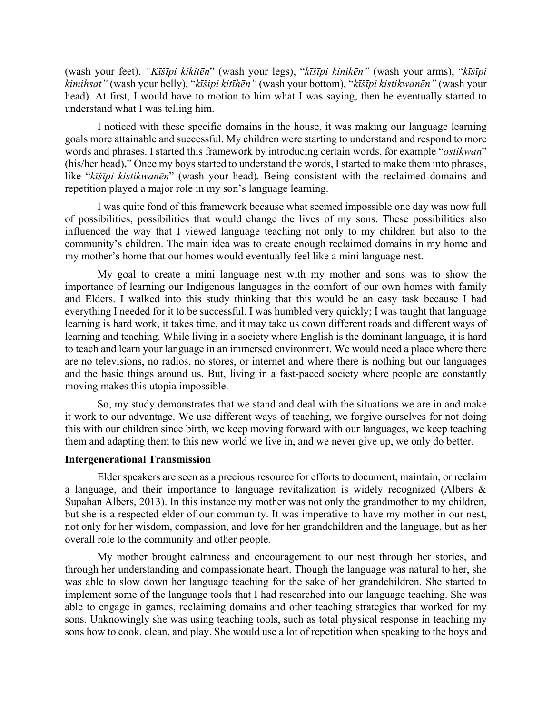(wash your feet), "Kīšīpi kikitēn" (wash your legs), "kīšīpi kinikēn" (wash your arms), "kīšīpi *kimihsat"* (wash your belly), "*kīšipi kitīhēn"* (wash your bottom), "*kīšīpi kistikwanēn"* (wash your head). At first, I would have to motion to him what I was saying, then he eventually started to understand what I was telling him.

 I noticed with these specific domains in the house, it was making our language learning goals more attainable and successful. My children were starting to understand and respond to more words and phrases. I started this framework by introducing certain words, for example "*ostikwan*" (his/her head)**.**" Once my boys started to understand the words, I started to make them into phrases, like "*kīšīpi kistikwanēn*" (wash your head)*.* Being consistent with the reclaimed domains and repetition played a major role in my son's language learning.

I was quite fond of this framework because what seemed impossible one day was now full of possibilities, possibilities that would change the lives of my sons. These possibilities also influenced the way that I viewed language teaching not only to my children but also to the community's children. The main idea was to create enough reclaimed domains in my home and my mother's home that our homes would eventually feel like a mini language nest.

My goal to create a mini language nest with my mother and sons was to show the importance of learning our Indigenous languages in the comfort of our own homes with family and Elders. I walked into this study thinking that this would be an easy task because I had everything I needed for it to be successful. I was humbled very quickly; I was taught that language learning is hard work, it takes time, and it may take us down different roads and different ways of learning and teaching. While living in a society where English is the dominant language, it is hard to teach and learn your language in an immersed environment. We would need a place where there are no televisions, no radios, no stores, or internet and where there is nothing but our languages and the basic things around us. But, living in a fast-paced society where people are constantly moving makes this utopia impossible.

So, my study demonstrates that we stand and deal with the situations we are in and make it work to our advantage. We use different ways of teaching, we forgive ourselves for not doing this with our children since birth, we keep moving forward with our languages, we keep teaching them and adapting them to this new world we live in, and we never give up, we only do better.

### **Intergenerational Transmission**

Elder speakers are seen as a precious resource for efforts to document, maintain, or reclaim a language, and their importance to language revitalization is widely recognized (Albers & Supahan Albers, 2013). In this instance my mother was not only the grandmother to my children, but she is a respected elder of our community. It was imperative to have my mother in our nest, not only for her wisdom, compassion, and love for her grandchildren and the language, but as her overall role to the community and other people.

My mother brought calmness and encouragement to our nest through her stories, and through her understanding and compassionate heart. Though the language was natural to her, she was able to slow down her language teaching for the sake of her grandchildren. She started to implement some of the language tools that I had researched into our language teaching. She was able to engage in games, reclaiming domains and other teaching strategies that worked for my sons. Unknowingly she was using teaching tools, such as total physical response in teaching my sons how to cook, clean, and play. She would use a lot of repetition when speaking to the boys and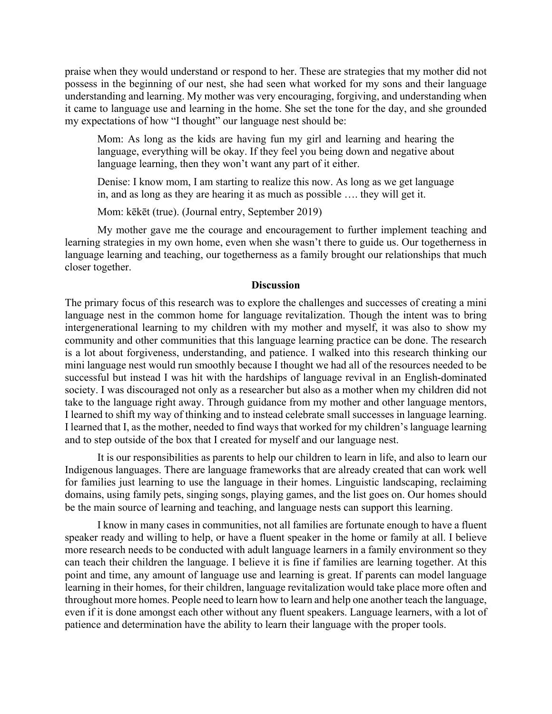praise when they would understand or respond to her. These are strategies that my mother did not possess in the beginning of our nest, she had seen what worked for my sons and their language understanding and learning. My mother was very encouraging, forgiving, and understanding when it came to language use and learning in the home. She set the tone for the day, and she grounded my expectations of how "I thought" our language nest should be:

Mom: As long as the kids are having fun my girl and learning and hearing the language, everything will be okay. If they feel you being down and negative about language learning, then they won't want any part of it either.

Denise: I know mom, I am starting to realize this now. As long as we get language in, and as long as they are hearing it as much as possible …. they will get it.

Mom: kēkēt (true). (Journal entry, September 2019)

 My mother gave me the courage and encouragement to further implement teaching and learning strategies in my own home, even when she wasn't there to guide us. Our togetherness in language learning and teaching, our togetherness as a family brought our relationships that much closer together.

### **Discussion**

The primary focus of this research was to explore the challenges and successes of creating a mini language nest in the common home for language revitalization. Though the intent was to bring intergenerational learning to my children with my mother and myself, it was also to show my community and other communities that this language learning practice can be done. The research is a lot about forgiveness, understanding, and patience. I walked into this research thinking our mini language nest would run smoothly because I thought we had all of the resources needed to be successful but instead I was hit with the hardships of language revival in an English-dominated society. I was discouraged not only as a researcher but also as a mother when my children did not take to the language right away. Through guidance from my mother and other language mentors, I learned to shift my way of thinking and to instead celebrate small successes in language learning. I learned that I, as the mother, needed to find ways that worked for my children's language learning and to step outside of the box that I created for myself and our language nest.

 It is our responsibilities as parents to help our children to learn in life, and also to learn our Indigenous languages. There are language frameworks that are already created that can work well for families just learning to use the language in their homes. Linguistic landscaping, reclaiming domains, using family pets, singing songs, playing games, and the list goes on. Our homes should be the main source of learning and teaching, and language nests can support this learning.

 I know in many cases in communities, not all families are fortunate enough to have a fluent speaker ready and willing to help, or have a fluent speaker in the home or family at all. I believe more research needs to be conducted with adult language learners in a family environment so they can teach their children the language. I believe it is fine if families are learning together. At this point and time, any amount of language use and learning is great. If parents can model language learning in their homes, for their children, language revitalization would take place more often and throughout more homes. People need to learn how to learn and help one another teach the language, even if it is done amongst each other without any fluent speakers. Language learners, with a lot of patience and determination have the ability to learn their language with the proper tools.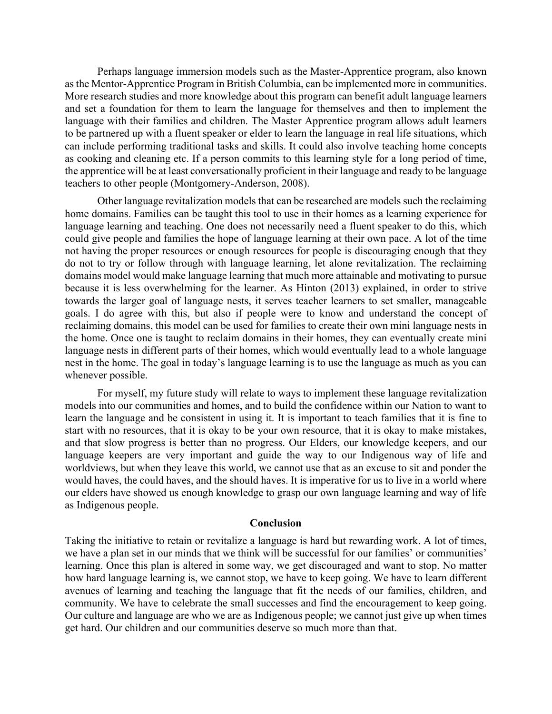Perhaps language immersion models such as the Master-Apprentice program, also known as the Mentor-Apprentice Program in British Columbia, can be implemented more in communities. More research studies and more knowledge about this program can benefit adult language learners and set a foundation for them to learn the language for themselves and then to implement the language with their families and children. The Master Apprentice program allows adult learners to be partnered up with a fluent speaker or elder to learn the language in real life situations, which can include performing traditional tasks and skills. It could also involve teaching home concepts as cooking and cleaning etc. If a person commits to this learning style for a long period of time, the apprentice will be at least conversationally proficient in their language and ready to be language teachers to other people (Montgomery-Anderson, 2008).

 Other language revitalization models that can be researched are models such the reclaiming home domains. Families can be taught this tool to use in their homes as a learning experience for language learning and teaching. One does not necessarily need a fluent speaker to do this, which could give people and families the hope of language learning at their own pace. A lot of the time not having the proper resources or enough resources for people is discouraging enough that they do not to try or follow through with language learning, let alone revitalization. The reclaiming domains model would make language learning that much more attainable and motivating to pursue because it is less overwhelming for the learner. As Hinton (2013) explained, in order to strive towards the larger goal of language nests, it serves teacher learners to set smaller, manageable goals. I do agree with this, but also if people were to know and understand the concept of reclaiming domains, this model can be used for families to create their own mini language nests in the home. Once one is taught to reclaim domains in their homes, they can eventually create mini language nests in different parts of their homes, which would eventually lead to a whole language nest in the home. The goal in today's language learning is to use the language as much as you can whenever possible.

 For myself, my future study will relate to ways to implement these language revitalization models into our communities and homes, and to build the confidence within our Nation to want to learn the language and be consistent in using it. It is important to teach families that it is fine to start with no resources, that it is okay to be your own resource, that it is okay to make mistakes, and that slow progress is better than no progress. Our Elders, our knowledge keepers, and our language keepers are very important and guide the way to our Indigenous way of life and worldviews, but when they leave this world, we cannot use that as an excuse to sit and ponder the would haves, the could haves, and the should haves. It is imperative for us to live in a world where our elders have showed us enough knowledge to grasp our own language learning and way of life as Indigenous people.

### **Conclusion**

Taking the initiative to retain or revitalize a language is hard but rewarding work. A lot of times, we have a plan set in our minds that we think will be successful for our families' or communities' learning. Once this plan is altered in some way, we get discouraged and want to stop. No matter how hard language learning is, we cannot stop, we have to keep going. We have to learn different avenues of learning and teaching the language that fit the needs of our families, children, and community. We have to celebrate the small successes and find the encouragement to keep going. Our culture and language are who we are as Indigenous people; we cannot just give up when times get hard. Our children and our communities deserve so much more than that.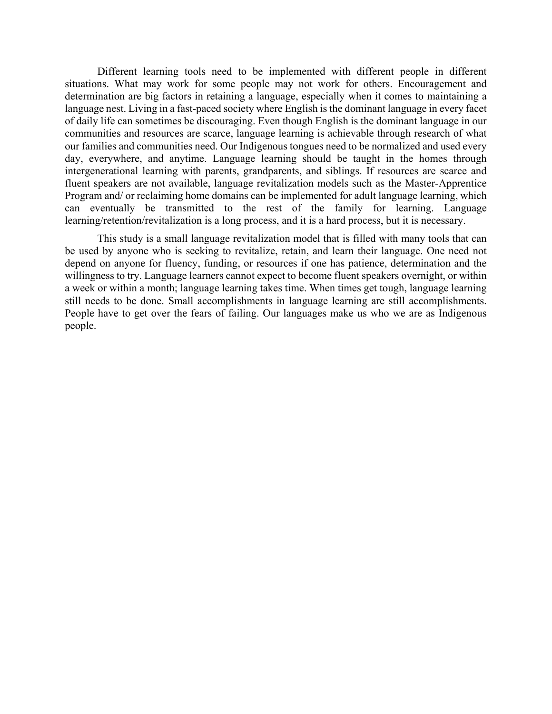Different learning tools need to be implemented with different people in different situations. What may work for some people may not work for others. Encouragement and determination are big factors in retaining a language, especially when it comes to maintaining a language nest. Living in a fast-paced society where English is the dominant language in every facet of daily life can sometimes be discouraging. Even though English is the dominant language in our communities and resources are scarce, language learning is achievable through research of what our families and communities need. Our Indigenous tongues need to be normalized and used every day, everywhere, and anytime. Language learning should be taught in the homes through intergenerational learning with parents, grandparents, and siblings. If resources are scarce and fluent speakers are not available, language revitalization models such as the Master-Apprentice Program and/ or reclaiming home domains can be implemented for adult language learning, which can eventually be transmitted to the rest of the family for learning. Language learning/retention/revitalization is a long process, and it is a hard process, but it is necessary.

 This study is a small language revitalization model that is filled with many tools that can be used by anyone who is seeking to revitalize, retain, and learn their language. One need not depend on anyone for fluency, funding, or resources if one has patience, determination and the willingness to try. Language learners cannot expect to become fluent speakers overnight, or within a week or within a month; language learning takes time. When times get tough, language learning still needs to be done. Small accomplishments in language learning are still accomplishments. People have to get over the fears of failing. Our languages make us who we are as Indigenous people.

*15*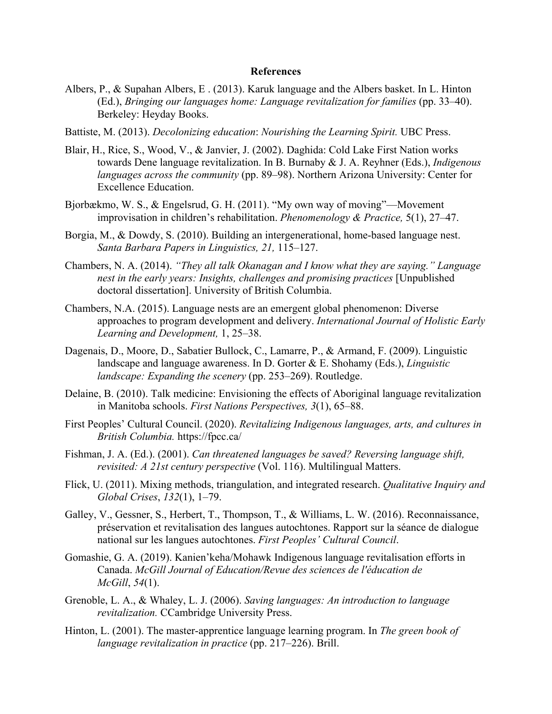#### **References**

- Albers, P., & Supahan Albers, E . (2013). Karuk language and the Albers basket. In L. Hinton (Ed.), *Bringing our languages home: Language revitalization for families* (pp. 33–40). Berkeley: Heyday Books.
- Battiste, M. (2013). *Decolonizing education*: *Nourishing the Learning Spirit.* UBC Press.
- Blair, H., Rice, S., Wood, V., & Janvier, J. (2002). Daghida: Cold Lake First Nation works towards Dene language revitalization. In B. Burnaby & J. A. Reyhner (Eds.), *Indigenous languages across the community* (pp. 89–98). Northern Arizona University: Center for Excellence Education.
- Bjorbækmo, W. S., & Engelsrud, G. H. (2011). "My own way of moving"—Movement improvisation in children's rehabilitation. *Phenomenology & Practice,* 5(1), 27–47.
- Borgia, M., & Dowdy, S. (2010). Building an intergenerational, home-based language nest. *Santa Barbara Papers in Linguistics, 21,* 115–127.
- Chambers, N. A. (2014). *"They all talk Okanagan and I know what they are saying." Language nest in the early years: Insights, challenges and promising practices* [Unpublished doctoral dissertation]. University of British Columbia.
- Chambers, N.A. (2015). Language nests are an emergent global phenomenon: Diverse approaches to program development and delivery. *International Journal of Holistic Early Learning and Development,* 1, 25–38.
- Dagenais, D., Moore, D., Sabatier Bullock, C., Lamarre, P., & Armand, F. (2009). Linguistic landscape and language awareness. In D. Gorter & E. Shohamy (Eds.), *Linguistic landscape: Expanding the scenery* (pp. 253–269). Routledge.
- Delaine, B. (2010). Talk medicine: Envisioning the effects of Aboriginal language revitalization in Manitoba schools. *First Nations Perspectives, 3*(1), 65–88.
- First Peoples' Cultural Council. (2020). *Revitalizing Indigenous languages, arts, and cultures in British Columbia.* <https://fpcc.ca/>
- Fishman, J. A. (Ed.). (2001). *Can threatened languages be saved? Reversing language shift, revisited: A 21st century perspective* (Vol. 116). Multilingual Matters.
- Flick, U. (2011). Mixing methods, triangulation, and integrated research. *Qualitative Inquiry and Global Crises*, *132*(1), 1–79.
- Galley, V., Gessner, S., Herbert, T., Thompson, T., & Williams, L. W. (2016). Reconnaissance, préservation et revitalisation des langues autochtones. Rapport sur la séance de dialogue national sur les langues autochtones. *First Peoples' Cultural Council*.
- Gomashie, G. A. (2019). Kanien'keha/Mohawk Indigenous language revitalisation efforts in Canada. *McGill Journal of Education/Revue des sciences de l'éducation de McGill*, *54*(1).
- Grenoble, L. A., & Whaley, L. J. (2006). *Saving languages: An introduction to language revitalization.* CCambridge University Press.
- Hinton, L. (2001). The master-apprentice language learning program. In *The green book of language revitalization in practice* (pp. 217–226). Brill.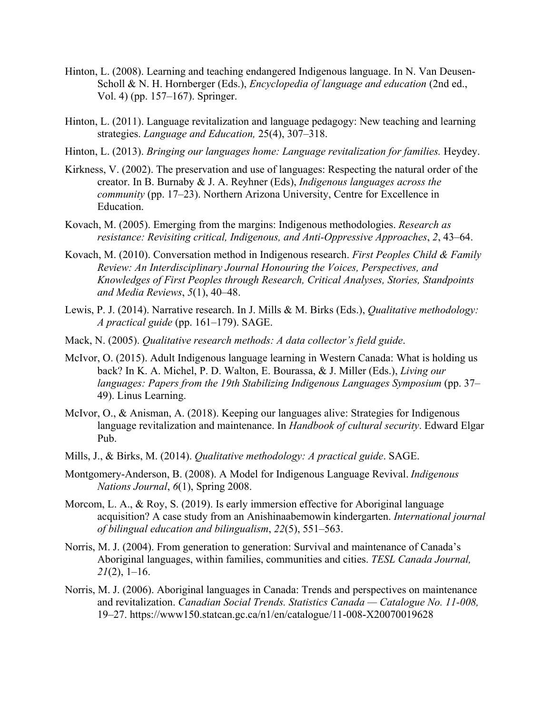- Hinton, L. (2008). Learning and teaching endangered Indigenous language. In N. Van Deusen-Scholl & N. H. Hornberger (Eds.), *Encyclopedia of language and education* (2nd ed., Vol. 4) (pp. 157–167). Springer.
- Hinton, L. (2011). Language revitalization and language pedagogy: New teaching and learning strategies. *Language and Education,* 25(4), 307–318.
- Hinton, L. (2013). *Bringing our languages home: Language revitalization for families.* Heydey.
- Kirkness, V. (2002). The preservation and use of languages: Respecting the natural order of the creator. In B. Burnaby & J. A. Reyhner (Eds), *Indigenous languages across the community* (pp. 17–23). Northern Arizona University, Centre for Excellence in Education.
- Kovach, M. (2005). Emerging from the margins: Indigenous methodologies. *Research as resistance: Revisiting critical, Indigenous, and Anti-Oppressive Approaches*, *2*, 43–64.
- Kovach, M. (2010). Conversation method in Indigenous research. *First Peoples Child & Family Review: An Interdisciplinary Journal Honouring the Voices, Perspectives, and Knowledges of First Peoples through Research, Critical Analyses, Stories, Standpoints and Media Reviews*, *5*(1), 40–48.
- Lewis, P. J. (2014). Narrative research. In J. Mills & M. Birks (Eds.), *Qualitative methodology: A practical guide* (pp. 161–179). SAGE.
- Mack, N. (2005). *Qualitative research methods: A data collector's field guide*.
- McIvor, O. (2015). Adult Indigenous language learning in Western Canada: What is holding us back? In K. A. Michel, P. D. Walton, E. Bourassa, & J. Miller (Eds.), *Living our languages: Papers from the 19th Stabilizing Indigenous Languages Symposium* (pp. 37– 49). Linus Learning.
- McIvor, O., & Anisman, A. (2018). Keeping our languages alive: Strategies for Indigenous language revitalization and maintenance. In *Handbook of cultural security*. Edward Elgar Pub.
- Mills, J., & Birks, M. (2014). *Qualitative methodology: A practical guide*. SAGE.
- Montgomery-Anderson, B. (2008). A Model for Indigenous Language Revival. *Indigenous Nations Journal*, *6*(1), Spring 2008.
- Morcom, L. A., & Roy, S. (2019). Is early immersion effective for Aboriginal language acquisition? A case study from an Anishinaabemowin kindergarten. *International journal of bilingual education and bilingualism*, *22*(5), 551–563.
- Norris, M. J. (2004). From generation to generation: Survival and maintenance of Canada's Aboriginal languages, within families, communities and cities. *TESL Canada Journal, 21*(2), 1–16.
- Norris, M. J. (2006). Aboriginal languages in Canada: Trends and perspectives on maintenance and revitalization. *Canadian Social Trends. Statistics Canada — Catalogue No. 11-008,*  19–27.<https://www150.statcan.gc.ca/n1/en/catalogue/11-008-X20070019628>